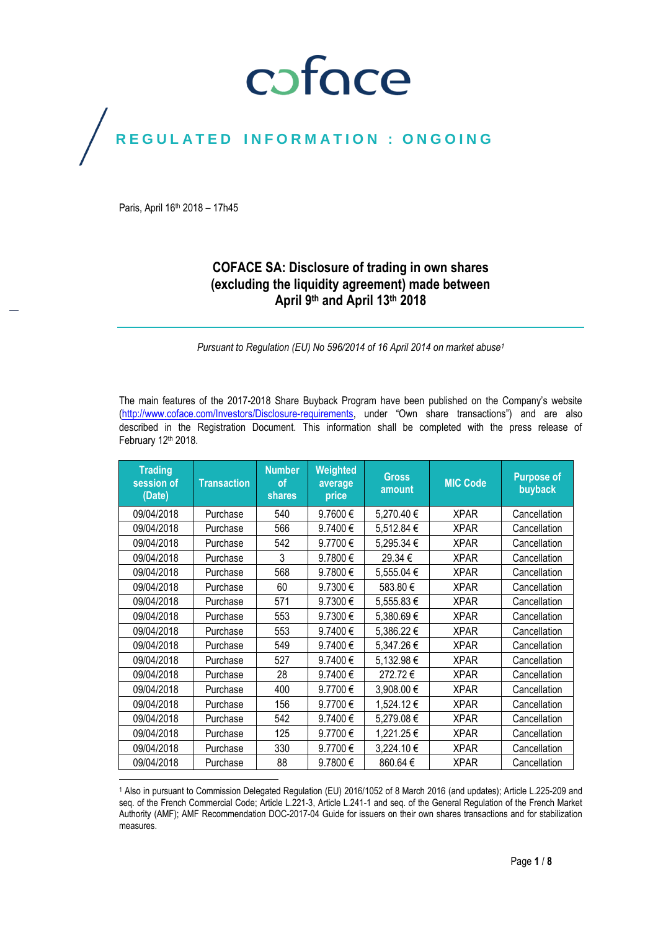## coface

### REGULATED INFORMATION : ONGOING

Paris, April 16th 2018 – 17h45

 $\overline{\phantom{a}}$ 

### **COFACE SA: Disclosure of trading in own shares (excluding the liquidity agreement) made between April 9 th and April 13th 2018**

*Pursuant to Regulation (EU) No 596/2014 of 16 April 2014 on market abuse<sup>1</sup>*

The main features of the 2017-2018 Share Buyback Program have been published on the Company's website [\(http://www.coface.com/Investors/Disclosure-requirements](http://www.coface.com/Investors/Disclosure-requirements), under "Own share transactions") and are also described in the Registration Document. This information shall be completed with the press release of February 12th 2018.

| <b>Trading</b><br>session of<br>(Date) | <b>Transaction</b> | <b>Number</b><br>οf<br>shares | Weighted<br>average<br>price | <b>Gross</b><br>amount | <b>MIC Code</b> | <b>Purpose of</b><br>buyback |
|----------------------------------------|--------------------|-------------------------------|------------------------------|------------------------|-----------------|------------------------------|
| 09/04/2018                             | Purchase           | 540                           | 9.7600€                      | 5,270.40 €             | <b>XPAR</b>     | Cancellation                 |
| 09/04/2018                             | Purchase           | 566                           | 9.7400€                      | 5,512.84 €             | <b>XPAR</b>     | Cancellation                 |
| 09/04/2018                             | Purchase           | 542                           | 9.7700€                      | 5,295.34 €             | <b>XPAR</b>     | Cancellation                 |
| 09/04/2018                             | Purchase           | 3                             | 9.7800€                      | 29.34 €                | <b>XPAR</b>     | Cancellation                 |
| 09/04/2018                             | Purchase           | 568                           | 9.7800€                      | 5,555.04 €             | <b>XPAR</b>     | Cancellation                 |
| 09/04/2018                             | Purchase           | 60                            | 9.7300€                      | 583.80€                | <b>XPAR</b>     | Cancellation                 |
| 09/04/2018                             | Purchase           | 571                           | 9.7300€                      | 5,555.83€              | <b>XPAR</b>     | Cancellation                 |
| 09/04/2018                             | Purchase           | 553                           | 9.7300€                      | 5,380.69€              | <b>XPAR</b>     | Cancellation                 |
| 09/04/2018                             | Purchase           | 553                           | 9.7400€                      | 5,386.22€              | <b>XPAR</b>     | Cancellation                 |
| 09/04/2018                             | Purchase           | 549                           | 9.7400€                      | 5,347.26€              | <b>XPAR</b>     | Cancellation                 |
| 09/04/2018                             | Purchase           | 527                           | 9.7400€                      | 5,132.98€              | <b>XPAR</b>     | Cancellation                 |
| 09/04/2018                             | Purchase           | 28                            | 9.7400€                      | 272.72€                | <b>XPAR</b>     | Cancellation                 |
| 09/04/2018                             | Purchase           | 400                           | 9.7700€                      | 3,908.00€              | <b>XPAR</b>     | Cancellation                 |
| 09/04/2018                             | Purchase           | 156                           | 9.7700€                      | 1,524.12€              | <b>XPAR</b>     | Cancellation                 |
| 09/04/2018                             | Purchase           | 542                           | 9.7400€                      | 5,279.08€              | <b>XPAR</b>     | Cancellation                 |
| 09/04/2018                             | Purchase           | 125                           | 9.7700€                      | 1,221.25€              | <b>XPAR</b>     | Cancellation                 |
| 09/04/2018                             | Purchase           | 330                           | 9.7700€                      | 3,224.10€              | <b>XPAR</b>     | Cancellation                 |
| 09/04/2018                             | Purchase           | 88                            | 9.7800€                      | 860.64€                | <b>XPAR</b>     | Cancellation                 |

<sup>1</sup> Also in pursuant to Commission Delegated Regulation (EU) 2016/1052 of 8 March 2016 (and updates); Article L.225-209 and seq. of the French Commercial Code; Article L.221-3, Article L.241-1 and seq. of the General Regulation of the French Market Authority (AMF); AMF Recommendation DOC-2017-04 Guide for issuers on their own shares transactions and for stabilization measures.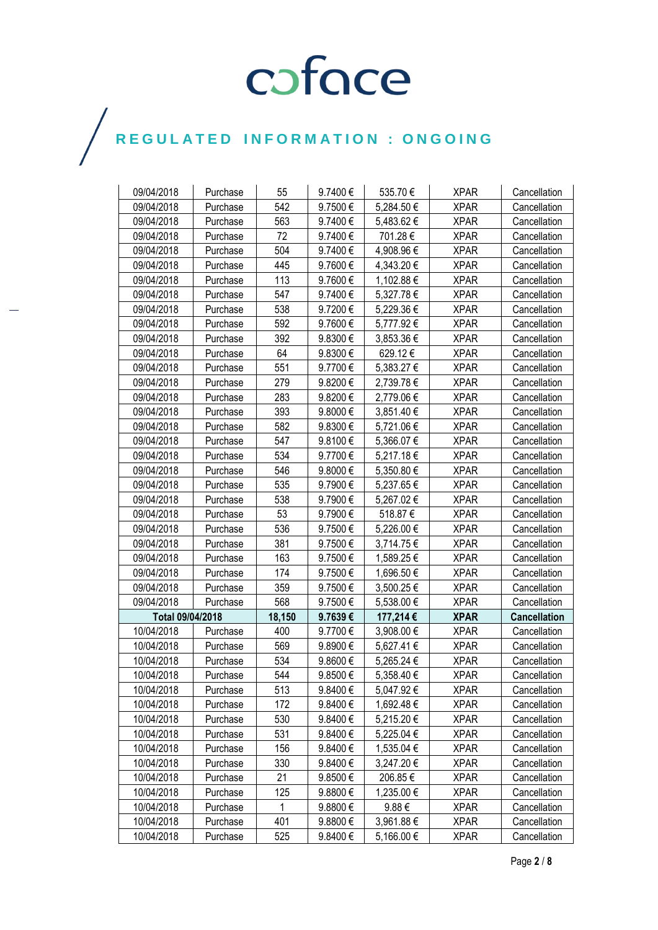| 09/04/2018       | Purchase             | 55     | 9.7400€      | 535.70€    | <b>XPAR</b> | Cancellation        |
|------------------|----------------------|--------|--------------|------------|-------------|---------------------|
| 09/04/2018       | Purchase             | 542    | 9.7500€      | 5,284.50 € | <b>XPAR</b> | Cancellation        |
| 09/04/2018       | Purchase             | 563    | 9.7400€      | 5,483.62 € | <b>XPAR</b> | Cancellation        |
| 09/04/2018       | Purchase             | 72     | 9.7400€      | 701.28€    | <b>XPAR</b> | Cancellation        |
| 09/04/2018       | Purchase             | 504    | 9.7400€      | 4,908.96€  | <b>XPAR</b> | Cancellation        |
| 09/04/2018       | Purchase             | 445    | 9.7600€      | 4,343.20 € | <b>XPAR</b> | Cancellation        |
| 09/04/2018       |                      | 113    | 9.7600€      | 1,102.88 € | <b>XPAR</b> | Cancellation        |
| 09/04/2018       | Purchase             | 547    | 9.7400€      | 5,327.78€  | <b>XPAR</b> | Cancellation        |
| 09/04/2018       | Purchase<br>Purchase | 538    | 9.7200€      | 5,229.36 € | <b>XPAR</b> | Cancellation        |
| 09/04/2018       | Purchase             | 592    | 9.7600€      | 5,777.92€  | <b>XPAR</b> | Cancellation        |
| 09/04/2018       | Purchase             | 392    | 9.8300€      | 3,853.36 € | <b>XPAR</b> | Cancellation        |
|                  |                      | 64     | 9.8300€      | 629.12€    | <b>XPAR</b> |                     |
| 09/04/2018       | Purchase             |        |              |            |             | Cancellation        |
| 09/04/2018       | Purchase             | 551    | 9.7700€      | 5,383.27 € | <b>XPAR</b> | Cancellation        |
| 09/04/2018       | Purchase             | 279    | 9.8200€      | 2,739.78€  | <b>XPAR</b> | Cancellation        |
| 09/04/2018       | Purchase             | 283    | 9.8200€      | 2,779.06€  | <b>XPAR</b> | Cancellation        |
| 09/04/2018       | Purchase             | 393    | 9.8000€      | 3,851.40€  | <b>XPAR</b> | Cancellation        |
| 09/04/2018       | Purchase             | 582    | 9.8300€      | 5,721.06€  | <b>XPAR</b> | Cancellation        |
| 09/04/2018       | Purchase             | 547    | 9.8100€      | 5,366.07 € | <b>XPAR</b> | Cancellation        |
| 09/04/2018       | Purchase             | 534    | 9.7700€      | 5,217.18€  | <b>XPAR</b> | Cancellation        |
| 09/04/2018       | Purchase             | 546    | 9.8000€      | 5,350.80 € | <b>XPAR</b> | Cancellation        |
| 09/04/2018       | Purchase             | 535    | 9.7900€      | 5,237.65€  | <b>XPAR</b> | Cancellation        |
| 09/04/2018       | Purchase             | 538    | 9.7900€      | 5,267.02€  | <b>XPAR</b> | Cancellation        |
| 09/04/2018       | Purchase             | 53     | 9.7900€      | 518.87€    | <b>XPAR</b> | Cancellation        |
| 09/04/2018       | Purchase             | 536    | 9.7500€      | 5,226.00 € | <b>XPAR</b> | Cancellation        |
| 09/04/2018       | Purchase             | 381    | 9.7500€      | 3,714.75€  | <b>XPAR</b> | Cancellation        |
| 09/04/2018       | Purchase             | 163    | 9.7500€      | 1,589.25 € | <b>XPAR</b> | Cancellation        |
| 09/04/2018       | Purchase             | 174    | 9.7500€      | 1,696.50€  | <b>XPAR</b> | Cancellation        |
| 09/04/2018       | Purchase             | 359    | 9.7500€      | 3,500.25 € | <b>XPAR</b> | Cancellation        |
| 09/04/2018       | Purchase             | 568    | 9.7500€      | 5,538.00 € | <b>XPAR</b> | Cancellation        |
| Total 09/04/2018 |                      | 18,150 | 9.7639€      | 177,214€   | <b>XPAR</b> | <b>Cancellation</b> |
| 10/04/2018       | Purchase             | 400    | 9.7700€      | 3,908.00 € | <b>XPAR</b> | Cancellation        |
| 10/04/2018       | Purchase             | 569    | 9.8900€      | 5,627.41€  | <b>XPAR</b> | Cancellation        |
| 10/04/2018       | Purchase             | 534    | 9.8600€      | 5,265.24 € | <b>XPAR</b> | Cancellation        |
| 10/04/2018       | Purchase             | 544    | 9.8500€      | 5,358.40 € | <b>XPAR</b> | Cancellation        |
| 10/04/2018       | Purchase             | 513    | 9.8400€      | 5,047.92€  | <b>XPAR</b> | Cancellation        |
| 10/04/2018       | Purchase             | 172    | 9.8400€      | 1,692.48 € | <b>XPAR</b> | Cancellation        |
| 10/04/2018       | Purchase             | 530    | 9.8400€      | 5,215.20€  | <b>XPAR</b> | Cancellation        |
| 10/04/2018       | Purchase             | 531    | 9.8400€      | 5,225.04 € | <b>XPAR</b> | Cancellation        |
| 10/04/2018       | Purchase             | 156    | 9.8400€      | 1,535.04 € | <b>XPAR</b> | Cancellation        |
| 10/04/2018       | Purchase             | 330    | 9.8400€      | 3,247.20 € | <b>XPAR</b> | Cancellation        |
| 10/04/2018       | Purchase             | 21     | 9.8500€      | 206.85€    | <b>XPAR</b> | Cancellation        |
| 10/04/2018       | Purchase             | 125    | 9.8800€      | 1,235.00 € | <b>XPAR</b> | Cancellation        |
| 10/04/2018       | Purchase             | 1      | $9.8800 \in$ | 9.88€      | <b>XPAR</b> | Cancellation        |
| 10/04/2018       | Purchase             | 401    | $9.8800 \in$ | 3,961.88 € | <b>XPAR</b> | Cancellation        |
| 10/04/2018       | Purchase             | 525    | 9.8400€      | 5,166.00 € | <b>XPAR</b> | Cancellation        |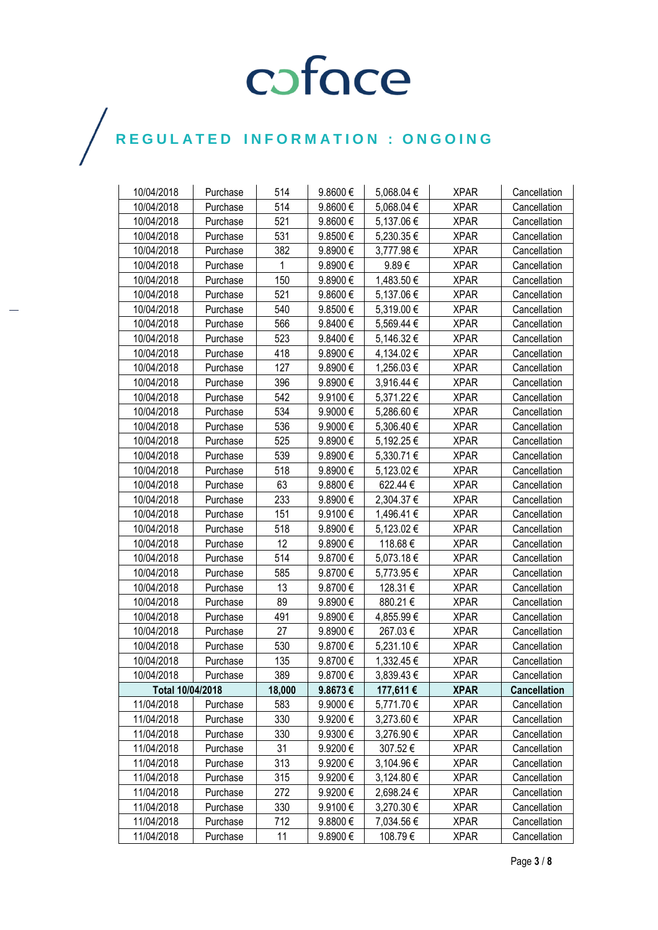| 10/04/2018       | Purchase | 514    | 9.8600€      | 5,068.04 € | <b>XPAR</b> | Cancellation        |
|------------------|----------|--------|--------------|------------|-------------|---------------------|
| 10/04/2018       | Purchase | 514    | 9.8600€      | 5,068.04 € | <b>XPAR</b> | Cancellation        |
| 10/04/2018       | Purchase | 521    | 9.8600€      | 5,137.06 € | <b>XPAR</b> | Cancellation        |
| 10/04/2018       | Purchase | 531    | 9.8500€      | 5,230.35€  | <b>XPAR</b> | Cancellation        |
| 10/04/2018       | Purchase | 382    | 9.8900€      | 3,777.98€  | <b>XPAR</b> | Cancellation        |
| 10/04/2018       | Purchase | 1      | 9.8900€      | 9.89€      | <b>XPAR</b> | Cancellation        |
| 10/04/2018       | Purchase | 150    | 9.8900€      | 1,483.50 € | <b>XPAR</b> | Cancellation        |
| 10/04/2018       | Purchase | 521    | $9.8600 \in$ | 5,137.06 € | <b>XPAR</b> | Cancellation        |
| 10/04/2018       | Purchase | 540    | 9.8500€      | 5,319.00 € | <b>XPAR</b> | Cancellation        |
| 10/04/2018       | Purchase | 566    | 9.8400€      | 5,569.44 € | <b>XPAR</b> | Cancellation        |
| 10/04/2018       | Purchase | 523    | 9.8400€      | 5,146.32€  | <b>XPAR</b> | Cancellation        |
| 10/04/2018       | Purchase | 418    | 9.8900€      | 4,134.02 € | <b>XPAR</b> | Cancellation        |
| 10/04/2018       | Purchase | 127    | 9.8900€      | 1,256.03€  | <b>XPAR</b> | Cancellation        |
| 10/04/2018       | Purchase | 396    | 9.8900€      | 3,916.44 € | <b>XPAR</b> | Cancellation        |
| 10/04/2018       | Purchase | 542    | 9.9100€      | 5,371.22 € | <b>XPAR</b> | Cancellation        |
| 10/04/2018       | Purchase | 534    | 9.9000€      | 5,286.60€  | <b>XPAR</b> | Cancellation        |
| 10/04/2018       | Purchase | 536    | 9.9000€      | 5,306.40 € | <b>XPAR</b> | Cancellation        |
| 10/04/2018       | Purchase | 525    | 9.8900€      | 5,192.25€  | <b>XPAR</b> | Cancellation        |
| 10/04/2018       | Purchase | 539    | 9.8900€      | 5,330.71 € | <b>XPAR</b> | Cancellation        |
| 10/04/2018       | Purchase | 518    | 9.8900€      | 5,123.02 € | <b>XPAR</b> | Cancellation        |
| 10/04/2018       | Purchase | 63     | 9.8800 $\in$ | 622.44€    | <b>XPAR</b> | Cancellation        |
| 10/04/2018       | Purchase | 233    | 9.8900€      | 2,304.37€  | <b>XPAR</b> | Cancellation        |
| 10/04/2018       | Purchase | 151    | 9.9100€      | 1,496.41 € | <b>XPAR</b> | Cancellation        |
| 10/04/2018       | Purchase | 518    | 9.8900€      | 5,123.02€  | <b>XPAR</b> | Cancellation        |
| 10/04/2018       | Purchase | 12     | 9.8900€      | 118.68€    | <b>XPAR</b> | Cancellation        |
| 10/04/2018       | Purchase | 514    | 9.8700€      | 5,073.18€  | <b>XPAR</b> | Cancellation        |
| 10/04/2018       | Purchase | 585    | 9.8700€      | 5,773.95€  | <b>XPAR</b> | Cancellation        |
| 10/04/2018       | Purchase | 13     | 9.8700€      | 128.31€    | <b>XPAR</b> | Cancellation        |
| 10/04/2018       | Purchase | 89     | 9.8900€      | 880.21€    | <b>XPAR</b> | Cancellation        |
| 10/04/2018       | Purchase | 491    | 9.8900€      | 4,855.99€  | <b>XPAR</b> | Cancellation        |
| 10/04/2018       | Purchase | 27     | 9.8900€      | 267.03€    | <b>XPAR</b> | Cancellation        |
| 10/04/2018       | Purchase | 530    | 9.8700€      | 5,231.10€  | <b>XPAR</b> | Cancellation        |
| 10/04/2018       | Purchase | 135    | 9.8700€      | 1,332.45 € | <b>XPAR</b> | Cancellation        |
| 10/04/2018       | Purchase | 389    | 9.8700€      | 3,839.43€  | <b>XPAR</b> | Cancellation        |
| Total 10/04/2018 |          | 18,000 | 9.8673€      | 177,611 €  | <b>XPAR</b> | <b>Cancellation</b> |
| 11/04/2018       | Purchase | 583    | 9.9000€      | 5,771.70 € | <b>XPAR</b> | Cancellation        |
| 11/04/2018       | Purchase | 330    | 9.9200€      | 3,273.60 € | <b>XPAR</b> | Cancellation        |
| 11/04/2018       | Purchase | 330    | 9.9300€      | 3,276.90 € | <b>XPAR</b> | Cancellation        |
| 11/04/2018       | Purchase | 31     | 9.9200€      | 307.52€    | <b>XPAR</b> | Cancellation        |
| 11/04/2018       | Purchase | 313    | 9.9200€      | 3,104.96 € | <b>XPAR</b> | Cancellation        |
| 11/04/2018       | Purchase | 315    | 9.9200€      | 3,124.80 € | <b>XPAR</b> | Cancellation        |
| 11/04/2018       | Purchase | 272    | 9.9200€      | 2,698.24 € | <b>XPAR</b> | Cancellation        |
| 11/04/2018       | Purchase | 330    | 9.9100€      | 3,270.30 € | <b>XPAR</b> | Cancellation        |
| 11/04/2018       | Purchase | 712    | 9.8800€      | 7,034.56 € | <b>XPAR</b> | Cancellation        |
| 11/04/2018       | Purchase | 11     | 9.8900 $\in$ | 108.79€    | <b>XPAR</b> | Cancellation        |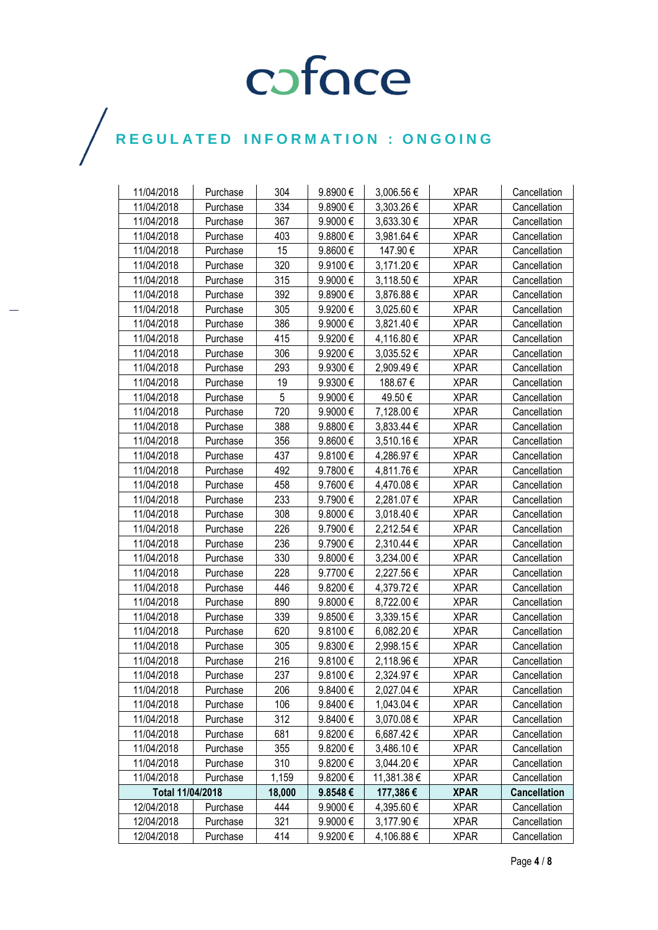| 11/04/2018       | Purchase | 304    | 9.8900€      | 3,006.56 €     | <b>XPAR</b> | Cancellation        |
|------------------|----------|--------|--------------|----------------|-------------|---------------------|
| 11/04/2018       | Purchase | 334    | 9.8900€      | 3,303.26 €     | <b>XPAR</b> | Cancellation        |
| 11/04/2018       | Purchase | 367    | 9.9000€      | 3,633.30 €     | <b>XPAR</b> | Cancellation        |
| 11/04/2018       | Purchase | 403    | 9.8800€      | 3,981.64 €     | <b>XPAR</b> | Cancellation        |
| 11/04/2018       | Purchase | 15     | 9.8600€      | 147.90€        | <b>XPAR</b> | Cancellation        |
| 11/04/2018       | Purchase | 320    | 9.9100€      | 3,171.20 €     | <b>XPAR</b> | Cancellation        |
| 11/04/2018       | Purchase | 315    | 9.9000€      | 3,118.50 €     | <b>XPAR</b> | Cancellation        |
| 11/04/2018       | Purchase | 392    | 9.8900€      | 3,876.88€      | <b>XPAR</b> | Cancellation        |
| 11/04/2018       | Purchase | 305    | 9.9200€      | 3,025.60 €     | <b>XPAR</b> | Cancellation        |
| 11/04/2018       | Purchase | 386    | 9.9000€      | 3,821.40 €     | <b>XPAR</b> | Cancellation        |
| 11/04/2018       | Purchase | 415    | 9.9200€      | 4,116.80 €     | <b>XPAR</b> | Cancellation        |
| 11/04/2018       | Purchase | 306    | 9.9200€      | 3,035.52€      | <b>XPAR</b> | Cancellation        |
| 11/04/2018       | Purchase | 293    | 9.9300€      | 2,909.49€      | <b>XPAR</b> | Cancellation        |
| 11/04/2018       | Purchase | 19     | 9.9300€      | 188.67€        | <b>XPAR</b> | Cancellation        |
| 11/04/2018       | Purchase | 5      | 9.9000€      | 49.50 €        | <b>XPAR</b> | Cancellation        |
| 11/04/2018       | Purchase | 720    | 9.9000€      | 7,128.00 €     | <b>XPAR</b> | Cancellation        |
| 11/04/2018       | Purchase | 388    | 9.8800€      | $3,833.44 \in$ | <b>XPAR</b> | Cancellation        |
| 11/04/2018       | Purchase | 356    | 9.8600€      | 3,510.16€      | <b>XPAR</b> | Cancellation        |
| 11/04/2018       | Purchase | 437    | 9.8100€      | 4,286.97€      | <b>XPAR</b> | Cancellation        |
| 11/04/2018       | Purchase | 492    | 9.7800€      | 4,811.76€      | <b>XPAR</b> | Cancellation        |
| 11/04/2018       | Purchase | 458    | 9.7600€      | 4,470.08 €     | <b>XPAR</b> | Cancellation        |
| 11/04/2018       | Purchase | 233    | 9.7900€      | 2,281.07€      | <b>XPAR</b> | Cancellation        |
| 11/04/2018       | Purchase | 308    | 9.8000€      | 3,018.40 €     | <b>XPAR</b> | Cancellation        |
| 11/04/2018       | Purchase | 226    | 9.7900€      | 2,212.54 €     | <b>XPAR</b> | Cancellation        |
| 11/04/2018       | Purchase | 236    | 9.7900€      | 2,310.44 €     | <b>XPAR</b> | Cancellation        |
| 11/04/2018       | Purchase | 330    | 9.8000€      | 3,234.00 €     | <b>XPAR</b> | Cancellation        |
| 11/04/2018       | Purchase | 228    | 9.7700€      | 2,227.56€      | <b>XPAR</b> | Cancellation        |
| 11/04/2018       | Purchase | 446    | 9.8200€      | 4,379.72 €     | <b>XPAR</b> | Cancellation        |
| 11/04/2018       | Purchase | 890    | 9.8000€      | 8,722.00 €     | <b>XPAR</b> | Cancellation        |
| 11/04/2018       | Purchase | 339    | 9.8500€      | 3,339.15€      | <b>XPAR</b> | Cancellation        |
| 11/04/2018       | Purchase | 620    | 9.8100€      | 6,082.20 €     | <b>XPAR</b> | Cancellation        |
| 11/04/2018       | Purchase | 305    | 9.8300€      | 2,998.15€      | <b>XPAR</b> | Cancellation        |
| 11/04/2018       | Purchase | 216    | 9.8100€      | 2,118.96€      | <b>XPAR</b> | Cancellation        |
| 11/04/2018       | Purchase | 237    | 9.8100€      | 2,324.97 €     | <b>XPAR</b> | Cancellation        |
| 11/04/2018       | Purchase | 206    | $9.8400 \in$ | 2,027.04 €     | <b>XPAR</b> | Cancellation        |
| 11/04/2018       | Purchase | 106    | $9.8400 \in$ | 1,043.04 €     | <b>XPAR</b> | Cancellation        |
| 11/04/2018       | Purchase | 312    | 9.8400€      | 3,070.08 €     | <b>XPAR</b> | Cancellation        |
| 11/04/2018       | Purchase | 681    | 9.8200€      | 6,687.42€      | <b>XPAR</b> | Cancellation        |
| 11/04/2018       | Purchase | 355    | 9.8200€      | 3,486.10€      | <b>XPAR</b> | Cancellation        |
| 11/04/2018       | Purchase | 310    | 9.8200€      | 3,044.20 €     | <b>XPAR</b> | Cancellation        |
| 11/04/2018       | Purchase | 1,159  | 9.8200€      | 11,381.38 €    | <b>XPAR</b> | Cancellation        |
| Total 11/04/2018 |          | 18,000 | 9.8548€      | 177,386 €      | <b>XPAR</b> | <b>Cancellation</b> |
| 12/04/2018       | Purchase | 444    | 9.9000€      | 4,395.60 €     | <b>XPAR</b> | Cancellation        |
| 12/04/2018       | Purchase | 321    | 9.9000€      | 3,177.90 €     | <b>XPAR</b> | Cancellation        |
| 12/04/2018       | Purchase | 414    | 9.9200€      | 4,106.88 €     | <b>XPAR</b> | Cancellation        |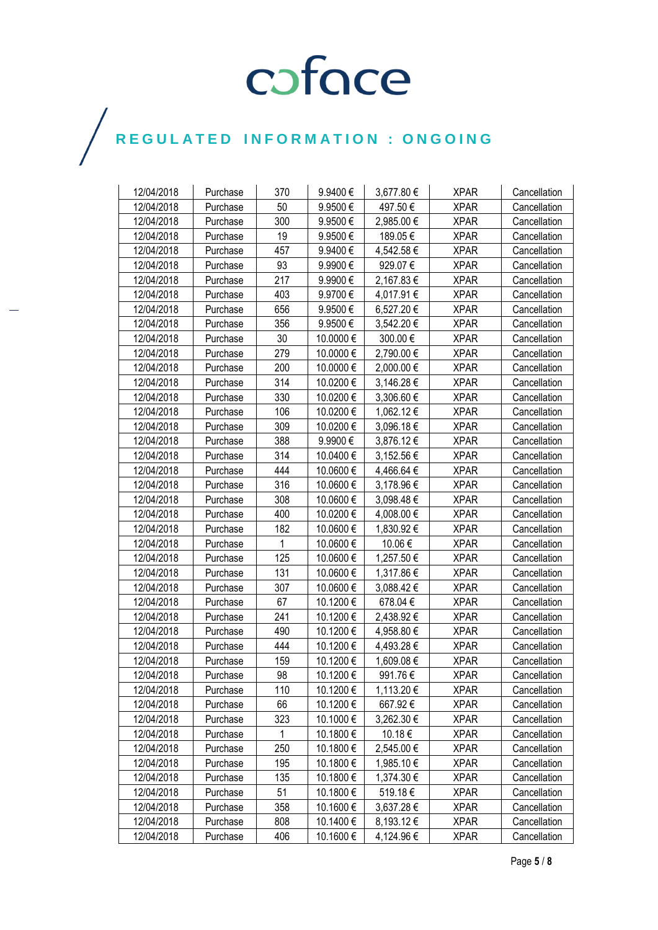| 12/04/2018 | Purchase | 370          | 9.9400€   | 3,677.80 € | <b>XPAR</b> | Cancellation |
|------------|----------|--------------|-----------|------------|-------------|--------------|
| 12/04/2018 | Purchase | 50           | 9.9500€   | 497.50€    | <b>XPAR</b> | Cancellation |
| 12/04/2018 | Purchase | 300          | 9.9500€   | 2,985.00 € | <b>XPAR</b> | Cancellation |
| 12/04/2018 | Purchase | 19           | 9.9500€   | 189.05€    | <b>XPAR</b> | Cancellation |
| 12/04/2018 | Purchase | 457          | 9.9400€   | 4,542.58 € | <b>XPAR</b> | Cancellation |
| 12/04/2018 | Purchase | 93           | 9.9900€   | 929.07€    | <b>XPAR</b> | Cancellation |
| 12/04/2018 | Purchase | 217          | 9.9900€   | 2,167.83€  | <b>XPAR</b> | Cancellation |
| 12/04/2018 | Purchase | 403          | 9.9700€   | 4,017.91 € | <b>XPAR</b> | Cancellation |
| 12/04/2018 | Purchase | 656          | 9.9500€   | 6,527.20€  | <b>XPAR</b> | Cancellation |
| 12/04/2018 | Purchase | 356          | 9.9500€   | 3,542.20 € | <b>XPAR</b> | Cancellation |
| 12/04/2018 | Purchase | 30           | 10.0000 € | 300.00€    | <b>XPAR</b> | Cancellation |
| 12/04/2018 | Purchase | 279          | 10.0000 € | 2,790.00 € | <b>XPAR</b> | Cancellation |
| 12/04/2018 | Purchase | 200          | 10.0000 € | 2,000.00 € | <b>XPAR</b> | Cancellation |
| 12/04/2018 | Purchase | 314          | 10.0200€  | 3,146.28 € | <b>XPAR</b> | Cancellation |
| 12/04/2018 | Purchase | 330          | 10.0200€  | 3,306.60 € | <b>XPAR</b> | Cancellation |
| 12/04/2018 | Purchase | 106          | 10.0200€  | 1,062.12 € | <b>XPAR</b> | Cancellation |
| 12/04/2018 | Purchase | 309          | 10.0200€  | 3,096.18€  | <b>XPAR</b> | Cancellation |
| 12/04/2018 | Purchase | 388          | 9.9900€   | 3,876.12€  | <b>XPAR</b> | Cancellation |
| 12/04/2018 | Purchase | 314          | 10.0400€  | 3,152.56 € | <b>XPAR</b> | Cancellation |
| 12/04/2018 | Purchase | 444          | 10.0600€  | 4,466.64 € | <b>XPAR</b> | Cancellation |
| 12/04/2018 | Purchase | 316          | 10.0600€  | 3,178.96 € | <b>XPAR</b> | Cancellation |
| 12/04/2018 | Purchase | 308          | 10.0600€  | 3,098.48€  | <b>XPAR</b> | Cancellation |
| 12/04/2018 | Purchase | 400          | 10.0200€  | 4,008.00 € | <b>XPAR</b> | Cancellation |
| 12/04/2018 | Purchase | 182          | 10.0600€  | 1,830.92 € | <b>XPAR</b> | Cancellation |
| 12/04/2018 | Purchase | 1            | 10.0600€  | 10.06€     | <b>XPAR</b> | Cancellation |
| 12/04/2018 | Purchase | 125          | 10.0600€  | 1,257.50 € | <b>XPAR</b> | Cancellation |
| 12/04/2018 | Purchase | 131          | 10.0600€  | 1,317.86 € | <b>XPAR</b> | Cancellation |
| 12/04/2018 | Purchase | 307          | 10.0600€  | 3,088.42 € | <b>XPAR</b> | Cancellation |
| 12/04/2018 | Purchase | 67           | 10.1200€  | 678.04€    | <b>XPAR</b> | Cancellation |
| 12/04/2018 | Purchase | 241          | 10.1200€  | 2,438.92 € | <b>XPAR</b> | Cancellation |
| 12/04/2018 | Purchase | 490          | 10.1200€  | 4,958.80 € | <b>XPAR</b> | Cancellation |
| 12/04/2018 | Purchase | 444          | 10.1200€  | 4,493.28€  | <b>XPAR</b> | Cancellation |
| 12/04/2018 | Purchase | 159          | 10.1200€  | 1,609.08€  | <b>XPAR</b> | Cancellation |
| 12/04/2018 | Purchase | 98           | 10.1200€  | 991.76€    | <b>XPAR</b> | Cancellation |
| 12/04/2018 | Purchase | 110          | 10.1200 € | 1,113.20 € | <b>XPAR</b> | Cancellation |
| 12/04/2018 | Purchase | 66           | 10.1200 € | 667.92€    | <b>XPAR</b> | Cancellation |
| 12/04/2018 | Purchase | 323          | 10.1000 € | 3,262.30 € | <b>XPAR</b> | Cancellation |
| 12/04/2018 | Purchase | $\mathbf{1}$ | 10.1800€  | 10.18 €    | <b>XPAR</b> | Cancellation |
| 12/04/2018 | Purchase | 250          | 10.1800€  | 2,545.00€  | <b>XPAR</b> | Cancellation |
| 12/04/2018 | Purchase | 195          | 10.1800 € | 1,985.10 € | <b>XPAR</b> | Cancellation |
| 12/04/2018 | Purchase | 135          | 10.1800 € | 1,374.30 € | <b>XPAR</b> | Cancellation |
| 12/04/2018 | Purchase | 51           | 10.1800 € | 519.18€    | <b>XPAR</b> | Cancellation |
| 12/04/2018 | Purchase | 358          | 10.1600 € | 3,637.28 € | <b>XPAR</b> | Cancellation |
| 12/04/2018 | Purchase | 808          | 10.1400 € | 8,193.12€  | <b>XPAR</b> | Cancellation |
| 12/04/2018 | Purchase | 406          | 10.1600€  | 4,124.96 € | <b>XPAR</b> | Cancellation |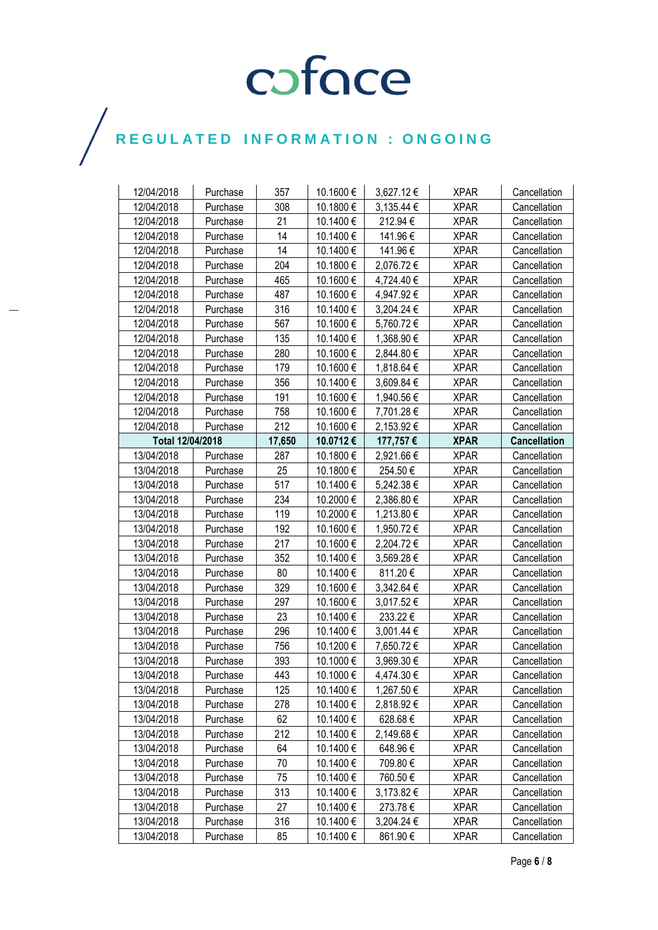| 12/04/2018       | Purchase | 357    | 10.1600 € | 3,627.12€  | <b>XPAR</b> | Cancellation        |
|------------------|----------|--------|-----------|------------|-------------|---------------------|
| 12/04/2018       | Purchase | 308    | 10.1800€  | 3,135.44 € | <b>XPAR</b> | Cancellation        |
| 12/04/2018       | Purchase | 21     | 10.1400€  | 212.94€    | <b>XPAR</b> | Cancellation        |
| 12/04/2018       | Purchase | 14     | 10.1400€  | 141.96€    | <b>XPAR</b> | Cancellation        |
| 12/04/2018       | Purchase | 14     | 10.1400€  | 141.96€    | <b>XPAR</b> | Cancellation        |
| 12/04/2018       | Purchase | 204    | 10.1800 € | 2,076.72€  | <b>XPAR</b> | Cancellation        |
| 12/04/2018       | Purchase | 465    | 10.1600€  | 4,724.40 € | <b>XPAR</b> | Cancellation        |
| 12/04/2018       | Purchase | 487    | 10.1600€  | 4,947.92 € | <b>XPAR</b> | Cancellation        |
| 12/04/2018       | Purchase | 316    | 10.1400€  | 3,204.24 € | <b>XPAR</b> | Cancellation        |
| 12/04/2018       | Purchase | 567    | 10.1600€  | 5,760.72€  | <b>XPAR</b> | Cancellation        |
| 12/04/2018       | Purchase | 135    | 10.1400€  | 1,368.90 € | <b>XPAR</b> | Cancellation        |
| 12/04/2018       | Purchase | 280    | 10.1600€  | 2,844.80 € | <b>XPAR</b> | Cancellation        |
| 12/04/2018       | Purchase | 179    | 10.1600€  | 1,818.64 € | <b>XPAR</b> | Cancellation        |
| 12/04/2018       | Purchase | 356    | 10.1400€  | 3,609.84 € | <b>XPAR</b> | Cancellation        |
| 12/04/2018       | Purchase | 191    | 10.1600€  | 1,940.56 € | <b>XPAR</b> | Cancellation        |
| 12/04/2018       | Purchase | 758    | 10.1600 € | 7,701.28 € | <b>XPAR</b> | Cancellation        |
| 12/04/2018       | Purchase | 212    | 10.1600€  | 2,153.92 € | <b>XPAR</b> | Cancellation        |
| Total 12/04/2018 |          | 17,650 | 10.0712€  | 177,757€   | <b>XPAR</b> | <b>Cancellation</b> |
| 13/04/2018       | Purchase | 287    | 10.1800€  | 2,921.66 € | <b>XPAR</b> | Cancellation        |
| 13/04/2018       | Purchase | 25     | 10.1800€  | 254.50€    | <b>XPAR</b> | Cancellation        |
| 13/04/2018       | Purchase | 517    | 10.1400€  | 5,242.38 € | <b>XPAR</b> | Cancellation        |
| 13/04/2018       | Purchase | 234    | 10.2000€  | 2,386.80€  | <b>XPAR</b> | Cancellation        |
| 13/04/2018       | Purchase | 119    | 10.2000€  | 1,213.80 € | <b>XPAR</b> | Cancellation        |
| 13/04/2018       | Purchase | 192    | 10.1600€  | 1,950.72 € | <b>XPAR</b> | Cancellation        |
| 13/04/2018       | Purchase | 217    | 10.1600€  | 2,204.72€  | <b>XPAR</b> | Cancellation        |
| 13/04/2018       | Purchase | 352    | 10.1400€  | 3,569.28 € | <b>XPAR</b> | Cancellation        |
| 13/04/2018       | Purchase | 80     | 10.1400€  | 811.20€    | <b>XPAR</b> | Cancellation        |
| 13/04/2018       | Purchase | 329    | 10.1600€  | 3,342.64 € | <b>XPAR</b> | Cancellation        |
| 13/04/2018       | Purchase | 297    | 10.1600€  | 3,017.52€  | <b>XPAR</b> | Cancellation        |
| 13/04/2018       | Purchase | 23     | 10.1400€  | 233.22€    | <b>XPAR</b> | Cancellation        |
| 13/04/2018       | Purchase | 296    | 10.1400€  | 3,001.44 € | <b>XPAR</b> | Cancellation        |
| 13/04/2018       | Purchase | 756    | 10.1200€  | 7,650.72 € | <b>XPAR</b> | Cancellation        |
| 13/04/2018       | Purchase | 393    | 10.1000€  | 3,969.30 € | <b>XPAR</b> | Cancellation        |
| 13/04/2018       | Purchase | 443    | 10.1000€  | 4,474.30 € | <b>XPAR</b> | Cancellation        |
| 13/04/2018       | Purchase | 125    | 10.1400 € | 1,267.50 € | <b>XPAR</b> | Cancellation        |
| 13/04/2018       | Purchase | 278    | 10.1400 € | 2,818.92 € | <b>XPAR</b> | Cancellation        |
| 13/04/2018       | Purchase | 62     | 10.1400 € | 628.68€    | <b>XPAR</b> | Cancellation        |
| 13/04/2018       | Purchase | 212    | 10.1400 € | 2,149.68 € | <b>XPAR</b> | Cancellation        |
| 13/04/2018       | Purchase | 64     | 10.1400€  | 648.96€    | <b>XPAR</b> | Cancellation        |
| 13/04/2018       | Purchase | 70     | 10.1400€  | 709.80€    | <b>XPAR</b> | Cancellation        |
| 13/04/2018       | Purchase | 75     | 10.1400 € | 760.50€    | <b>XPAR</b> | Cancellation        |
| 13/04/2018       | Purchase | 313    | 10.1400 € | 3,173.82 € | <b>XPAR</b> | Cancellation        |
| 13/04/2018       | Purchase | 27     | 10.1400€  | 273.78€    | <b>XPAR</b> | Cancellation        |
| 13/04/2018       | Purchase | 316    | 10.1400 € | 3,204.24 € | <b>XPAR</b> | Cancellation        |
| 13/04/2018       | Purchase | 85     | 10.1400 € | 861.90€    | <b>XPAR</b> | Cancellation        |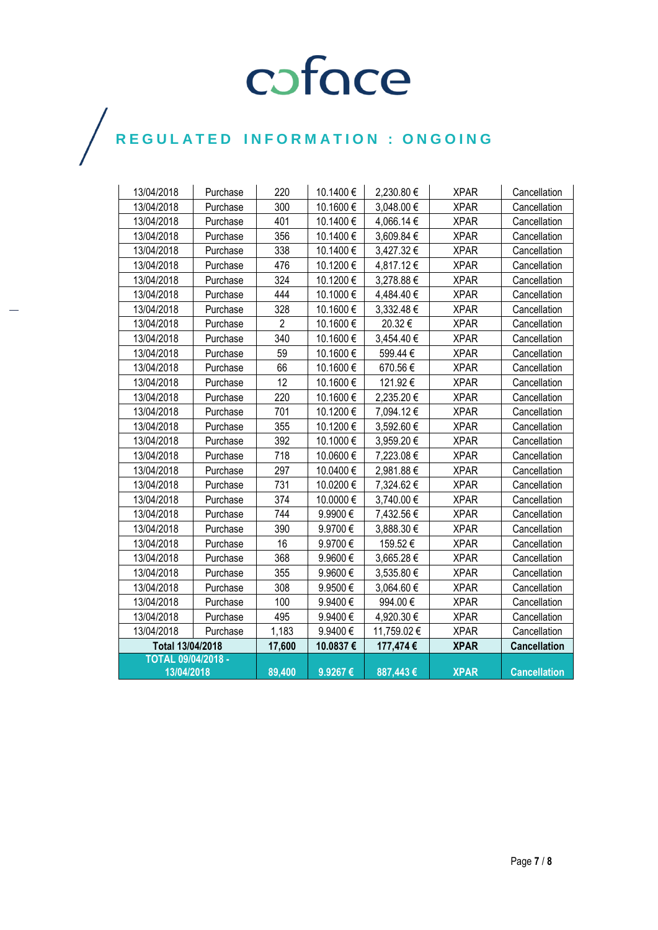| 13/04/2018                | Purchase | 220            | 10.1400€ | 2,230.80€   | <b>XPAR</b> | Cancellation        |
|---------------------------|----------|----------------|----------|-------------|-------------|---------------------|
| 13/04/2018                | Purchase | 300            | 10.1600€ | 3,048.00 €  | <b>XPAR</b> | Cancellation        |
| 13/04/2018                | Purchase | 401            | 10.1400€ | 4,066.14 €  | <b>XPAR</b> | Cancellation        |
| 13/04/2018                | Purchase | 356            | 10.1400€ | 3,609.84 €  | <b>XPAR</b> | Cancellation        |
| 13/04/2018                | Purchase | 338            | 10.1400€ | 3,427.32€   | <b>XPAR</b> | Cancellation        |
| 13/04/2018                | Purchase | 476            | 10.1200€ | 4,817.12€   | <b>XPAR</b> | Cancellation        |
| 13/04/2018                | Purchase | 324            | 10.1200€ | 3,278.88€   | <b>XPAR</b> | Cancellation        |
| 13/04/2018                | Purchase | 444            | 10.1000€ | 4,484.40€   | <b>XPAR</b> | Cancellation        |
| 13/04/2018                | Purchase | 328            | 10.1600€ | 3,332.48€   | <b>XPAR</b> | Cancellation        |
| 13/04/2018                | Purchase | $\overline{2}$ | 10.1600€ | 20.32€      | <b>XPAR</b> | Cancellation        |
| 13/04/2018                | Purchase | 340            | 10.1600€ | 3,454.40 €  | <b>XPAR</b> | Cancellation        |
| 13/04/2018                | Purchase | 59             | 10.1600€ | 599.44€     | <b>XPAR</b> | Cancellation        |
| 13/04/2018                | Purchase | 66             | 10.1600€ | 670.56€     | <b>XPAR</b> | Cancellation        |
| 13/04/2018                | Purchase | 12             | 10.1600€ | 121.92€     | <b>XPAR</b> | Cancellation        |
| 13/04/2018                | Purchase | 220            | 10.1600€ | 2,235.20€   | <b>XPAR</b> | Cancellation        |
| 13/04/2018                | Purchase | 701            | 10.1200€ | 7,094.12€   | <b>XPAR</b> | Cancellation        |
| 13/04/2018                | Purchase | 355            | 10.1200€ | 3,592.60 €  | <b>XPAR</b> | Cancellation        |
| 13/04/2018                | Purchase | 392            | 10.1000€ | 3,959.20€   | <b>XPAR</b> | Cancellation        |
| 13/04/2018                | Purchase | 718            | 10.0600€ | 7,223.08€   | <b>XPAR</b> | Cancellation        |
| 13/04/2018                | Purchase | 297            | 10.0400€ | 2,981.88€   | <b>XPAR</b> | Cancellation        |
| 13/04/2018                | Purchase | 731            | 10.0200€ | 7,324.62€   | <b>XPAR</b> | Cancellation        |
| 13/04/2018                | Purchase | 374            | 10.0000€ | 3,740.00 €  | <b>XPAR</b> | Cancellation        |
| 13/04/2018                | Purchase | 744            | 9.9900€  | 7,432.56 €  | <b>XPAR</b> | Cancellation        |
| 13/04/2018                | Purchase | 390            | 9.9700€  | 3,888.30 €  | <b>XPAR</b> | Cancellation        |
| 13/04/2018                | Purchase | 16             | 9.9700€  | 159.52€     | <b>XPAR</b> | Cancellation        |
| 13/04/2018                | Purchase | 368            | 9.9600€  | 3,665.28€   | <b>XPAR</b> | Cancellation        |
| 13/04/2018                | Purchase | 355            | 9.9600€  | 3,535.80 €  | <b>XPAR</b> | Cancellation        |
| 13/04/2018                | Purchase | 308            | 9.9500€  | 3,064.60 €  | <b>XPAR</b> | Cancellation        |
| 13/04/2018                | Purchase | 100            | 9.9400€  | 994.00€     | <b>XPAR</b> | Cancellation        |
| 13/04/2018                | Purchase | 495            | 9.9400€  | 4,920.30 €  | <b>XPAR</b> | Cancellation        |
| 13/04/2018                | Purchase | 1,183          | 9.9400€  | 11,759.02 € | <b>XPAR</b> | Cancellation        |
| Total 13/04/2018          |          | 17,600         | 10.0837€ | 177,474€    | <b>XPAR</b> | <b>Cancellation</b> |
| <b>TOTAL 09/04/2018 -</b> |          |                |          |             |             |                     |
| 13/04/2018                |          | 89,400         | 9.9267€  | 887,443€    | <b>XPAR</b> | <b>Cancellation</b> |